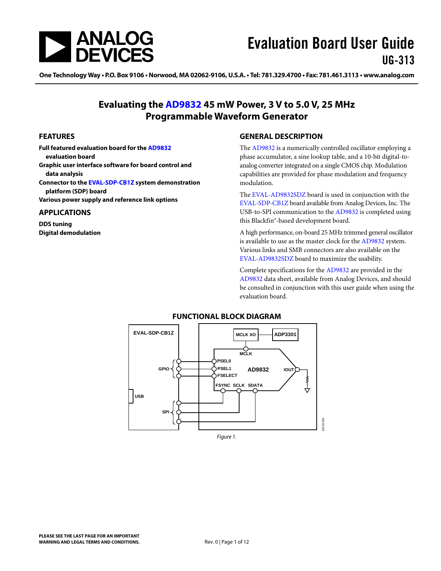<span id="page-0-0"></span>

One Technology Way • P.O. Box 9106 • Norwood, MA 02062-9106, U.S.A. • Tel: 781.329.4700 • Fax: 781.461.3113 • www.analog.com

### **Evaluating the [AD9832](http://www.analog.com/ad9832) 45 mW Power, 3 V to 5.0 V, 25 MHz Programmable Waveform Generator**

#### **FEATURES**

**Full featured evaluation board for the [AD9832](http://www.analog.com/ad9832) evaluation board** 

- **Graphic user interface software for board control and data analysis**
- **Connector to the [EVAL-SDP-CB1Z](http://www.analog.com/sdplatform_userguide) system demonstration platform (SDP) board**

**Various power supply and reference link options** 

#### **APPLICATIONS**

**DDS tuning Digital demodulation** 

#### **GENERAL DESCRIPTION**

The [AD9832](http://www.analog.com/ad9832) is a numerically controlled oscillator employing a phase accumulator, a sine lookup table, and a 10-bit digital-toanalog converter integrated on a single CMOS chip. Modulation capabilities are provided for phase modulation and frequency modulation.

The [EVAL-AD9832SDZ](http://www.analog.com/ad9832) board is used in conjunction with the [EVAL-SDP-CB1Z](http://www.analog.com/sdplatform_userguide) board available from Analog Devices, Inc. The USB-to-SPI communication to the [AD9832](http://www.analog.com/ad9832) is completed using this Blackfin®*-*based development board.

A high performance, on-board 25 MHz trimmed general oscillator is available to use as the master clock for the [AD9832](http://www.analog.com/ad9832) system. Various links and SMB connectors are also available on the [EVAL-AD9832SDZ](http://www.analog.com/ad9832) board to maximize the usability.

Complete specifications for the [AD9832](http://www.analog.com/ad9832) are provided in the [AD9832](http://www.analog.com/ad9832) data sheet, available from Analog Devices, and should be consulted in conjunction with this user guide when using the evaluation board.



#### **FUNCTIONAL BLOCK DIAGRAM**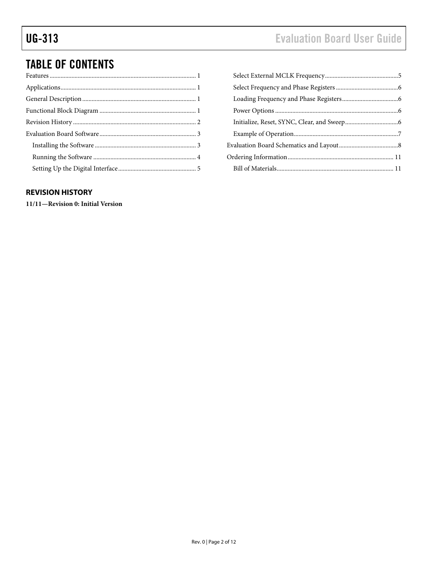# <span id="page-1-0"></span>UG-313 Evaluation Board User Guide

# TABLE OF CONTENTS

### **REVISION HISTORY**

**11/11—Revision 0: Initial Version**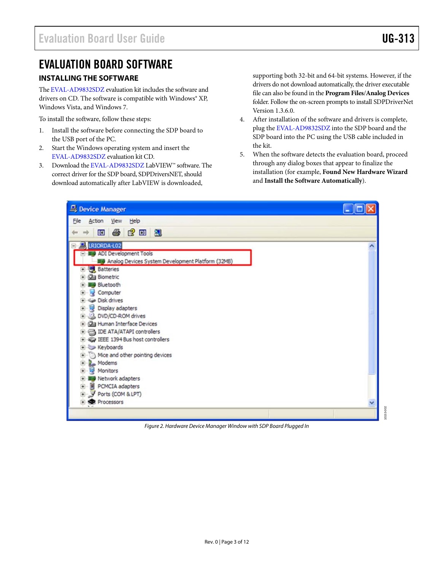10153-002

 $-002$ 0153

### <span id="page-2-0"></span>EVALUATION BOARD SOFTWARE

### **INSTALLING THE SOFTWARE**

The [EVAL-AD9832SDZ](http://www.analog.com/ad9832) evaluation kit includes the software and drivers on CD. The software is compatible with Windows® XP, Windows Vista, and Windows 7.

To install the software, follow these steps:

- 1. Install the software before connecting the SDP board to the USB port of the PC.
- 2. Start the Windows operating system and insert the [EVAL-AD9832SDZ](http://www.analog.com/ad9832) evaluation kit CD.
- 3. Download the [EVAL-AD9832SDZ](http://www.analog.com/ad9832) LabVIEW™ software. The correct driver for the SDP board, SDPDriversNET, should download automatically after LabVIEW is downloaded,

supporting both 32-bit and 64-bit systems. However, if the drivers do not download automatically, the driver executable file can also be found in the **Program Files**/**Analog Devices** folder. Follow the on-screen prompts to install SDPDriverNet Version 1.3.6.0.

- 4. After installation of the software and drivers is complete, plug the [EVAL-AD9832SDZ](http://www.analog.com/ad9832) into the SDP board and the SDP board into the PC using the USB cable included in the kit.
- 5. When the software detects the evaluation board, proceed through any dialog boxes that appear to finalize the installation (for example, **Found New Hardware Wizard** and **Install the Software Automatically**).

| Device Manager                                                                                                                                      |   |
|-----------------------------------------------------------------------------------------------------------------------------------------------------|---|
| Elle<br>Action View Help                                                                                                                            |   |
| 西马虎田鬼                                                                                                                                               |   |
| <b>EL LRIORDA-LO2</b><br>ADI Development Tools<br>图 Analog Devices System Development Platform (32MB)<br>Batteries                                  |   |
| <b>Ca</b> Biometric<br>Bluetooth<br>Computer<br>Disk drives<br>Display adapters<br>DVD/CD-ROM drives                                                |   |
| Human Interface Devices<br><b>EDE ATA/ATAPI controllers</b><br>E & IEEE 1394 Bus host controllers<br>E Keyboards<br>Mice and other pointing devices |   |
| Modems<br>Monitors<br><b>B</b> Network adapters<br>PCMCIA adapters<br>田<br>Ports (COM & LPT)                                                        |   |
| Processors                                                                                                                                          | v |

Figure 2. Hardware Device Manager Window with SDP Board Plugged In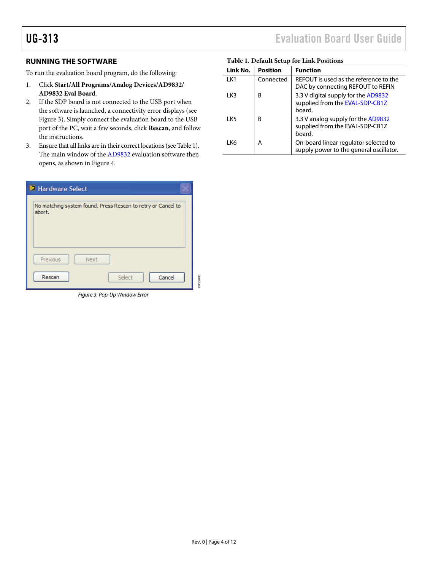### <span id="page-3-2"></span>**RUNNING THE SOFTWARE**

To run the evaluation board program, do the following:

- 1. Click **Start/All Programs/Analog Devices/AD9832/ AD9832 Eval Board**.
- 2. If the SDP board is not connected to the USB port when the software is launched, a connectivity error displays (see [Figure 3](#page-3-1)). Simply connect the evaluation board to the USB port of the PC, wait a few seconds, click **Rescan**, and follow the instructions.
- 3. Ensure that all links are in their correct locations (see [Table 1](#page-3-2)). The main window of the [AD9832](http://www.analog.com/ad9832) evaluation software then opens, as shown in [Figure 4](#page-4-1).

| Hardware Select |                                                                        |           |  |  |
|-----------------|------------------------------------------------------------------------|-----------|--|--|
|                 | No matching system found. Press Rescan to retry or Cancel to<br>abort. |           |  |  |
|                 | Next<br>Previous                                                       |           |  |  |
|                 | Rescan<br>Select<br>Cancel                                             | 10153-003 |  |  |

<span id="page-3-1"></span>Figure 3. Pop-Up Window Error

## <span id="page-3-0"></span>UG-313 Evaluation Board User Guide

| Tubic 1: Denami octup for Ellia I oshions |                 |                                                                                  |  |
|-------------------------------------------|-----------------|----------------------------------------------------------------------------------|--|
| Link No.                                  | <b>Position</b> | <b>Function</b>                                                                  |  |
| LK1                                       | Connected       | REFOUT is used as the reference to the<br>DAC by connecting REFOUT to REFIN      |  |
| 1 K3                                      | В               | 3.3 V digital supply for the AD9832<br>supplied from the EVAL-SDP-CB1Z<br>board. |  |
| 1 K <sub>5</sub>                          | B               | 3.3 V analog supply for the AD9832<br>supplied from the EVAL-SDP-CB1Z<br>board.  |  |
| I K6                                      | А               | On-board linear regulator selected to<br>supply power to the general oscillator. |  |

#### **Table 1. Default Setup for Link Positions**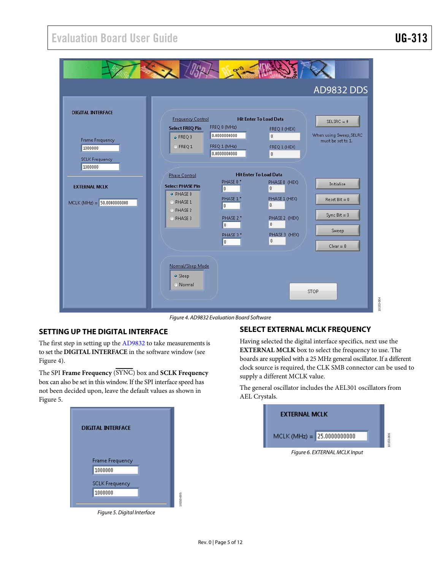<span id="page-4-0"></span>

Figure 4. AD9832 Evaluation Board Software

#### <span id="page-4-1"></span>**SETTING UP THE DIGITAL INTERFACE**

The first step in setting up the [AD9832](http://www.analog.com/ad9832) to take measurements is to set the **DIGITAL INTERFACE** in the software window (see [Figure 4](#page-4-1)).

The SPI **Frame Frequency** (SYNC) box and **SCLK Frequency** box can also be set in this window. If the SPI interface speed has not been decided upon, leave the default values as shown in [Figure 5](#page-4-2).



<span id="page-4-2"></span>Figure 5. Digital Interface

#### **SELECT EXTERNAL MCLK FREQUENCY**

Having selected the digital interface specifics, next use the **EXTERNAL MCLK** box to select the frequency to use. The boards are supplied with a 25 MHz general oscillator. If a different clock source is required, the CLK SMB connector can be used to supply a different MCLK value.

The general oscillator includes the AEL301 oscillators from AEL Crystals.

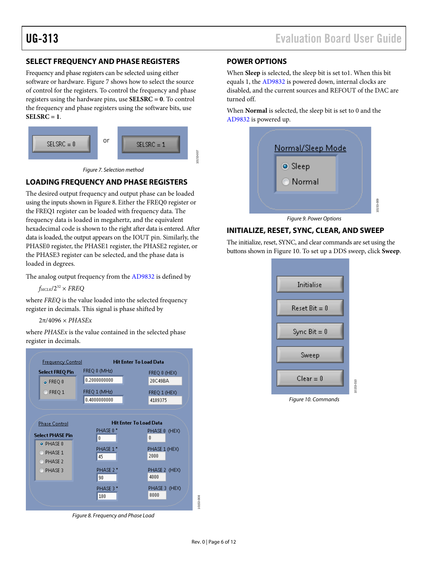### <span id="page-5-0"></span>**SELECT FREQUENCY AND PHASE REGISTERS**

Frequency and phase registers can be selected using either software or hardware. [Figure 7](#page-5-1) shows how to select the source of control for the registers. To control the frequency and phase registers using the hardware pins, use **SELSRC = 0**. To control the frequency and phase registers using the software bits, use **SELSRC = 1**.



Figure 7. Selection method

#### <span id="page-5-1"></span>**LOADING FREQUENCY AND PHASE REGISTERS**

The desired output frequency and output phase can be loaded using the inputs shown in [Figure 8](#page-5-2). Either the FREQ0 register or the FREQ1 register can be loaded with frequency data. The frequency data is loaded in megahertz, and the equivalent hexadecimal code is shown to the right after data is entered. After data is loaded, the output appears on the IOUT pin. Similarly, the PHASE0 register, the PHASE1 register, the PHASE2 register, or the PHASE3 register can be selected, and the phase data is loaded in degrees.

The analog output frequency from the [AD9832](http://www.analog.com/AD9834) is defined by

 $f_{MCLK}/2^{32}$   $\times$  *FREQ* 

where *FREQ* is the value loaded into the selected frequency register in decimals. This signal is phase shifted by

2π/4096 × *PHASEx*

where *PHASEx* is the value contained in the selected phase register in decimals.

<span id="page-5-3"></span>

<span id="page-5-2"></span>Figure 8. Frequency and Phase Load

#### **POWER OPTIONS**

When **Sleep** is selected, the sleep bit is set to1. When this bit equals 1, the [AD9832](http://www.analog.com/AD9834) is powered down, internal clocks are disabled, and the current sources and REFOUT of the DAC are turned off.

When **Normal** is selected, the sleep bit is set to 0 and the [AD9832](http://www.analog.com/AD9834) is powered up.



Figure 9. Power Options

#### **INITIALIZE, RESET, SYNC, CLEAR, AND SWEEP**

The initialize, reset, SYNC, and clear commands are set using the buttons shown in [Figure 10.](#page-5-3) To set up a DDS sweep, click **Sweep**.



Figure 10. Commands

10153-008

0153-008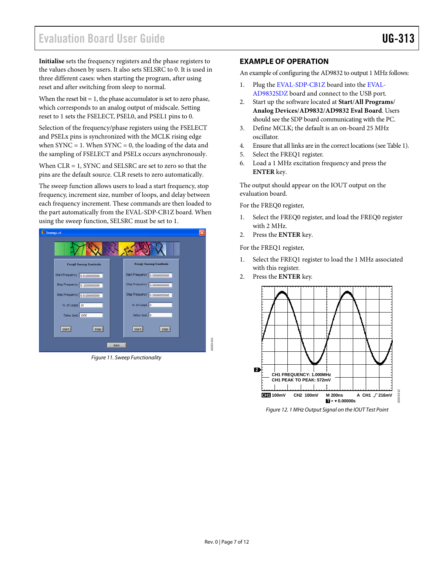# <span id="page-6-0"></span>Evaluation Board User Guide Communication Control of Control of Control of Control of Control of Control of Co

**Initialise** sets the frequency registers and the phase registers to **EXAMPLE OF OPERATION** the values chosen by users. It also sets SELSRC to 0. It is used in three different cases: when starting the program, after using reset and after switching from sleep to normal.

When the reset bit = 1, the phase accumulator is set to zero phase,<br>  $\Delta D9832SDZ$  board and connect to the USB port.<br>
2. Start up the software located at **Start/All Progran** which corresponds to an analog output of midscale. Setting reset to 1 sets the FSELECT, PSEL0, and PSEL1 pins to 0.

Selection of the frequency/phase registers using the FSELECT and PSELx pins is synchronized with the MCLK rising edge when  $SYNC = 1$ . When  $SYNC = 0$ , the loading of the data and the sampling of FSELECT and PSELx occurs asynchronously.

When CLR = 1, SYNC and SELSRC are set to zero so that the pins are the default source. CLR resets to zero automatically.

The sweep function allows users to load a start frequency, stop frequency, increment size, number of loops, and delay between each frequency increment. These commands are then loaded to the part automatically from the [EVAL-SDP-CB1Z](http://www.analog.com/sdplatform_userguide) board. When using the sweep function, SELSRC must be set to 1.



Figure 11. Sweep Functionality

An example of configuring the AD9832 to output 1 MHz follows:

- 1. Plug the [EVAL-SDP-CB1Z](http://www.analog.com/sdplatform_userguide) board into the [EVAL-](http://www.analog.com/ad9832)
- 2. Start up the software located at **Start**/**All Programs**/ **Analog Devices**/**AD9832**/**AD9832 Eval Board**. Users should see the SDP board communicating with the PC.
- 3. Define MCLK; the default is an on-board 25 MHz oscillator.
- 4. Ensure that all links are in the correct locations (see [Table 1](#page-3-2)).
- 5. Select the FREQ1 register.
- 6. Load a 1 MHz excitation frequency and press the **ENTER** key.

The output should appear on the IOUT output on the evaluation board.

For the FREQ0 register,

- 1. Select the FREQ0 register, and load the FREQ0 register with 2 MHz.
- 2. Press the **ENTER** key.

For the FREQ1 register,

- 1. Select the FREQ1 register to load the 1 MHz associated with this register.
- 2. Press the **ENTER** key.



Figure 12. 1 MHz Output Signal on the IOUT Test Point

10153-011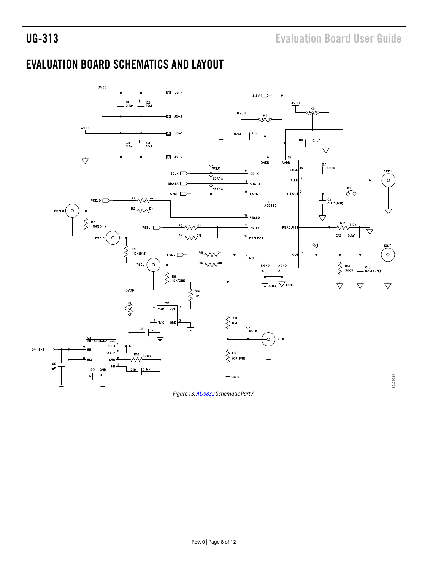## <span id="page-7-0"></span>EVALUATION BOARD SCHEMATICS AND LAYOUT



Figure 13. [AD9832](http://www.analog.com/ad9832) Schematic Part A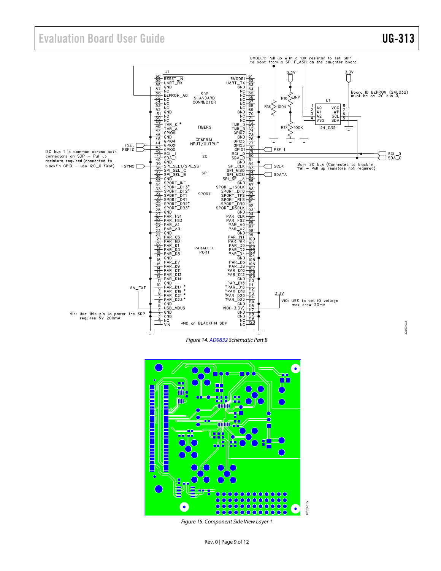### Evaluation Board User Guide Contract Contract Contract Contract Contract Contract Contract Contract Contract Contract Contract Contract Contract Contract Contract Contract Contract Contract Contract Contract Contract Contr





Figure 15. Component Side View Layer 1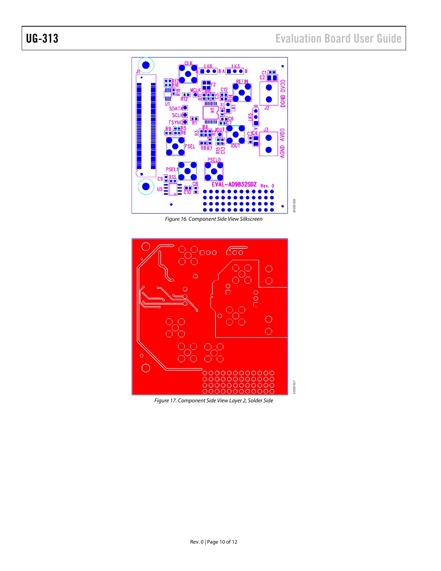

Figure 16. Component Side View Silkscreen



Figure 17. Component Side View Layer 2, Solder Side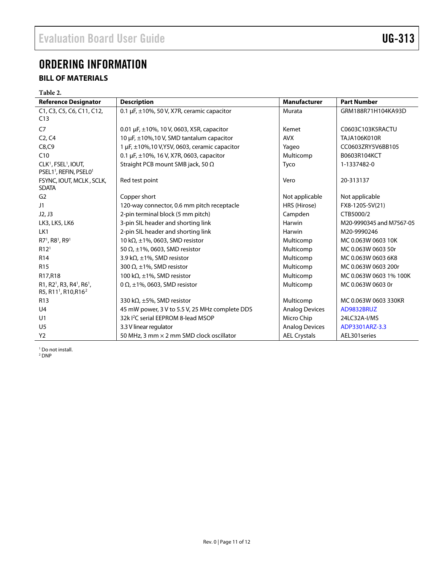## <span id="page-10-0"></span>ORDERING INFORMATION

### **BILL OF MATERIALS**

<span id="page-10-1"></span>

| Table 2.                                                                                                      |                                                      |                       |                          |  |  |  |
|---------------------------------------------------------------------------------------------------------------|------------------------------------------------------|-----------------------|--------------------------|--|--|--|
| <b>Reference Designator</b>                                                                                   | <b>Description</b>                                   | <b>Manufacturer</b>   | <b>Part Number</b>       |  |  |  |
| C1, C3, C5, C6, C11, C12,<br>C13                                                                              | 0.1 $\mu$ F, $\pm$ 10%, 50 V, X7R, ceramic capacitor |                       | GRM188R71H104KA93D       |  |  |  |
|                                                                                                               |                                                      | Kemet                 | C0603C103K5RACTU         |  |  |  |
| C <sub>7</sub><br>0.01 $\mu$ F, $\pm$ 10%, 10 V, 0603, X5R, capacitor                                         |                                                      | <b>AVX</b>            |                          |  |  |  |
| C <sub>2</sub> , C <sub>4</sub>                                                                               | 10 µF, ±10%,10 V, SMD tantalum capacitor             |                       | <b>TAJA106K010R</b>      |  |  |  |
| C8, C9                                                                                                        | 1 µF, ±10%,10 V,Y5V, 0603, ceramic capacitor         | Yageo                 | CC0603ZRY5V6BB105        |  |  |  |
| C10                                                                                                           | 0.1 µF, ±10%, 16 V, X7R, 0603, capacitor             | Multicomp             | B0603R104KCT             |  |  |  |
| CLK <sup>1</sup> , FSEL <sup>1</sup> , IOUT,<br>PSEL1 <sup>1</sup> , REFIN, PSEL0 <sup>1</sup>                | Straight PCB mount SMB jack, 50 $\Omega$             | Tyco                  | 1-1337482-0              |  |  |  |
| FSYNC, IOUT, MCLK, SCLK,<br><b>SDATA</b>                                                                      | Red test point                                       | Vero                  | 20-313137                |  |  |  |
| G <sub>2</sub>                                                                                                | Copper short                                         | Not applicable        | Not applicable           |  |  |  |
| J1                                                                                                            | 120-way connector, 0.6 mm pitch receptacle           | HRS (Hirose)          | FX8-120S-SV(21)          |  |  |  |
| J2, J3                                                                                                        | 2-pin terminal block (5 mm pitch)                    | Campden               | CTB5000/2                |  |  |  |
| LK3, LK5, LK6                                                                                                 | 3-pin SIL header and shorting link                   | Harwin                | M20-9990345 and M7567-05 |  |  |  |
| LK1                                                                                                           | 2-pin SIL header and shorting link                   | Harwin                | M20-9990246              |  |  |  |
| R7 <sup>1</sup> , R8 <sup>1</sup> , R9 <sup>1</sup>                                                           | 10 k $\Omega$ , ±1%, 0603, SMD resistor              | Multicomp             | MC 0.063W 0603 10K       |  |  |  |
| R12 <sup>1</sup>                                                                                              | 50 $\Omega$ , ±1%, 0603, SMD resistor                | Multicomp             | MC 0.063W 0603 50r       |  |  |  |
| R <sub>14</sub>                                                                                               | 3.9 k $\Omega$ , ±1%, SMD resistor                   | Multicomp             | MC 0.063W 0603 6K8       |  |  |  |
| R <sub>15</sub>                                                                                               | 300 $\Omega$ , ±1%, SMD resistor                     | Multicomp             | MC 0.063W 0603 200r      |  |  |  |
| R17,R18                                                                                                       | 100 k $\Omega$ , ±1%, SMD resistor                   | Multicomp             | MC 0.063W 0603 1% 100K   |  |  |  |
| R1, R2 <sup>1</sup> , R3, R4 <sup>1</sup> , R6 <sup>1</sup> ,<br>R5, R11 <sup>1</sup> , R10, R16 <sup>2</sup> | 0 $\Omega$ , ±1%, 0603, SMD resistor                 | Multicomp             | MC 0.063W 0603 0r        |  |  |  |
| R <sub>13</sub>                                                                                               | 330 k $\Omega$ , ±5%, SMD resistor                   | Multicomp             | MC 0.063W 0603 330KR     |  |  |  |
| U <sub>4</sub>                                                                                                | 45 mW power, 3 V to 5.5 V, 25 MHz complete DDS       | <b>Analog Devices</b> | AD9832BRUZ               |  |  |  |
| U1                                                                                                            | 32k <sup>2</sup> C serial EEPROM 8-lead MSOP         | Micro Chip            | 24LC32A-I/MS             |  |  |  |
| U <sub>5</sub>                                                                                                | 3.3 V linear regulator                               | <b>Analog Devices</b> | ADP3301ARZ-3.3           |  |  |  |
| Y <sub>2</sub>                                                                                                | 50 MHz, 3 mm × 2 mm SMD clock oscillator             | <b>AEL Crystals</b>   | AEL301 series            |  |  |  |

<sup>1</sup> Do not install.<br><sup>2</sup> DNP